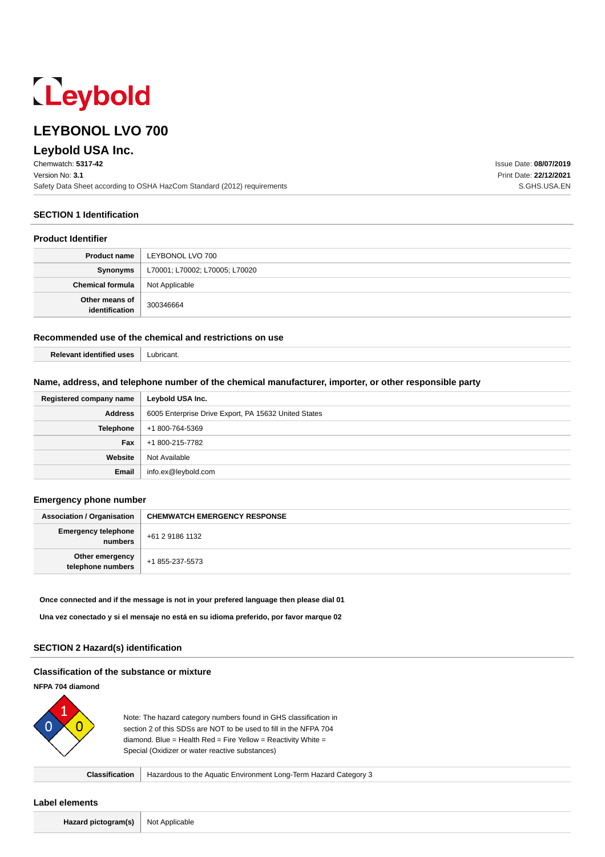# Leybold

# **LEYBONOL LVO 700**

# **Leybold USA Inc.**

Chemwatch: **5317-42** Version No: **3.1** Safety Data Sheet according to OSHA HazCom Standard (2012) requirements

**SECTION 1 Identification**

#### **Product Identifier**

| Product name                             | LEYBONOL LVO 700               |
|------------------------------------------|--------------------------------|
| Synonyms                                 | L70001; L70002; L70005; L70020 |
| <b>Chemical formula</b>   Not Applicable |                                |
| Other means of<br>identification         | 300346664                      |

## **Recommended use of the chemical and restrictions on use**

| <b>WALAVONT</b><br>10AC | uhrican |
|-------------------------|---------|
| <b>IGANTITIAG</b><br>.  | .       |

#### **Name, address, and telephone number of the chemical manufacturer, importer, or other responsible party**

| Registered company name | Leybold USA Inc.                                     |
|-------------------------|------------------------------------------------------|
| <b>Address</b>          | 6005 Enterprise Drive Export, PA 15632 United States |
| Telephone               | +1 800-764-5369                                      |
| Fax                     | +1 800-215-7782                                      |
| Website                 | Not Available                                        |
| Email                   | info.ex@leybold.com                                  |

#### **Emergency phone number**

| <b>Association / Organisation</b>     | <b>CHEMWATCH EMERGENCY RESPONSE</b> |
|---------------------------------------|-------------------------------------|
| <b>Emergency telephone</b><br>numbers | +61 2 9186 1132                     |
| Other emergency<br>telephone numbers  | +1 855-237-5573                     |

#### **Once connected and if the message is not in your prefered language then please dial 01**

**Una vez conectado y si el mensaje no está en su idioma preferido, por favor marque 02**

#### **SECTION 2 Hazard(s) identification**

#### **Classification of the substance or mixture**

## **NFPA 704 diamond**



Note: The hazard category numbers found in GHS classification in section 2 of this SDSs are NOT to be used to fill in the NFPA 704 diamond. Blue = Health Red = Fire Yellow = Reactivity White = Special (Oxidizer or water reactive substances)

**Classification** | Hazardous to the Aquatic Environment Long-Term Hazard Category 3

#### **Label elements**

**Hazard pictogram(s)** Not Applicable

Issue Date: **08/07/2019** Print Date: **22/12/2021** S.GHS.USA.EN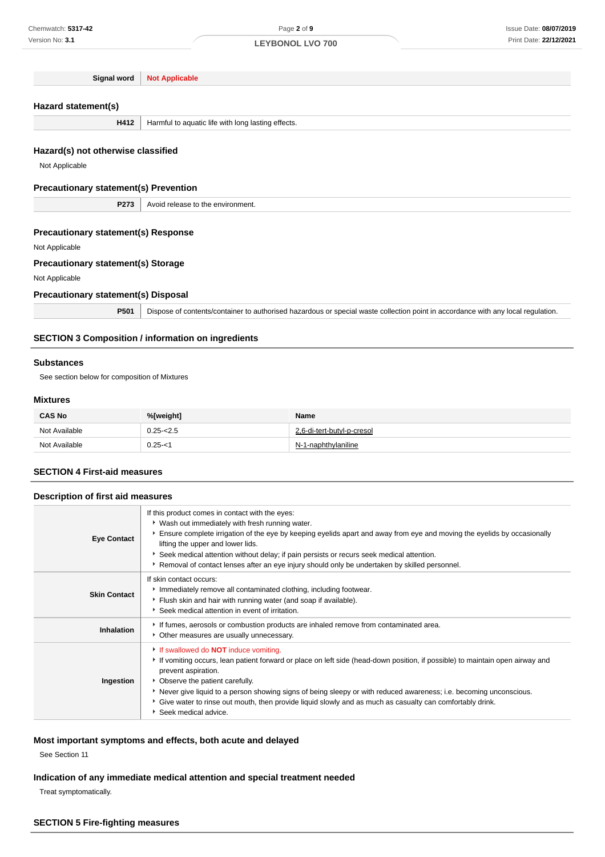**Signal word Not Applicable**

## **Hazard statement(s)**

**H412** | Harmful to aquatic life with long lasting effects.

## **Hazard(s) not otherwise classified**

Not Applicable

#### **Precautionary statement(s) Prevention**

**P273** Avoid release to the environment.

## **Precautionary statement(s) Response**

Not Applicable

## **Precautionary statement(s) Storage**

Not Applicable

## **Precautionary statement(s) Disposal**

**P501** Dispose of contents/container to authorised hazardous or special waste collection point in accordance with any local regulation.

#### **SECTION 3 Composition / information on ingredients**

#### **Substances**

See section below for composition of Mixtures

#### **Mixtures**

| <b>CAS No</b> | %[weight]    | <b>Name</b>                |  |
|---------------|--------------|----------------------------|--|
| Not Available | $0.25 - 2.5$ | 2,6-di-tert-butyl-p-cresol |  |
| Not Available | $0.25 - 1$   | N-1-naphthylaniline        |  |

#### **SECTION 4 First-aid measures**

#### **Description of first aid measures**

| <b>Eye Contact</b>  | If this product comes in contact with the eyes:<br>• Wash out immediately with fresh running water.<br>Ensure complete irrigation of the eye by keeping eyelids apart and away from eye and moving the eyelids by occasionally<br>lifting the upper and lower lids.<br>Seek medical attention without delay; if pain persists or recurs seek medical attention.<br>Removal of contact lenses after an eye injury should only be undertaken by skilled personnel.                                |
|---------------------|-------------------------------------------------------------------------------------------------------------------------------------------------------------------------------------------------------------------------------------------------------------------------------------------------------------------------------------------------------------------------------------------------------------------------------------------------------------------------------------------------|
| <b>Skin Contact</b> | If skin contact occurs:<br>Immediately remove all contaminated clothing, including footwear.<br>Flush skin and hair with running water (and soap if available).<br>Seek medical attention in event of irritation.                                                                                                                                                                                                                                                                               |
| <b>Inhalation</b>   | If fumes, aerosols or combustion products are inhaled remove from contaminated area.<br>Other measures are usually unnecessary.                                                                                                                                                                                                                                                                                                                                                                 |
| Ingestion           | If swallowed do <b>NOT</b> induce vomiting.<br>If vomiting occurs, lean patient forward or place on left side (head-down position, if possible) to maintain open airway and<br>prevent aspiration.<br>• Observe the patient carefully.<br>Never give liquid to a person showing signs of being sleepy or with reduced awareness; i.e. becoming unconscious.<br>Give water to rinse out mouth, then provide liquid slowly and as much as casualty can comfortably drink.<br>Seek medical advice. |

## **Most important symptoms and effects, both acute and delayed**

See Section 11

## **Indication of any immediate medical attention and special treatment needed**

Treat symptomatically.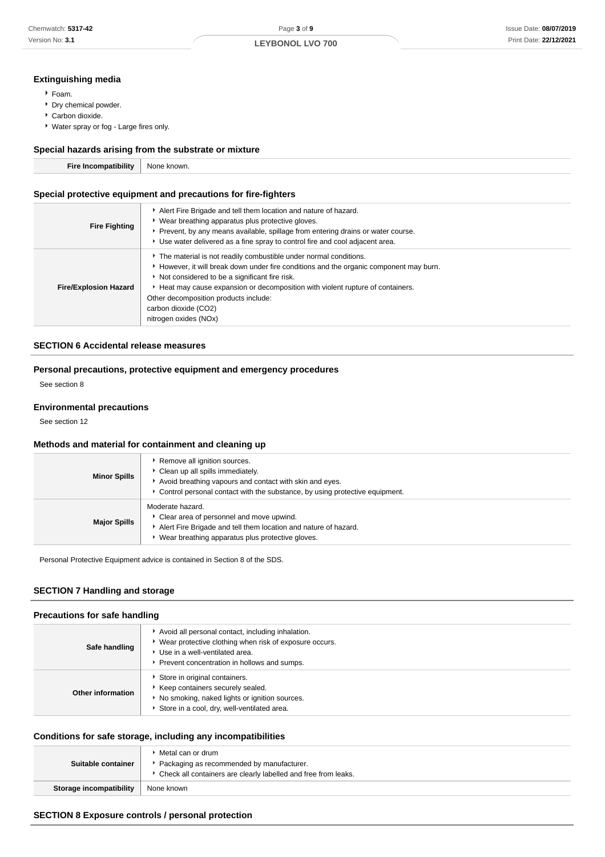## **Extinguishing media**

- Foam.
- Dry chemical powder.
- Carbon dioxide.
- Water spray or fog Large fires only.

## **Special hazards arising from the substrate or mixture**

| - - - | NG |
|-------|----|
|       |    |

## **Special protective equipment and precautions for fire-fighters**

| <b>Fire Fighting</b>         | Alert Fire Brigade and tell them location and nature of hazard.<br>• Wear breathing apparatus plus protective gloves.<br>▶ Prevent, by any means available, spillage from entering drains or water course.<br>► Use water delivered as a fine spray to control fire and cool adjacent area.                                                                                             |
|------------------------------|-----------------------------------------------------------------------------------------------------------------------------------------------------------------------------------------------------------------------------------------------------------------------------------------------------------------------------------------------------------------------------------------|
| <b>Fire/Explosion Hazard</b> | The material is not readily combustible under normal conditions.<br>► However, it will break down under fire conditions and the organic component may burn.<br>Not considered to be a significant fire risk.<br>Heat may cause expansion or decomposition with violent rupture of containers.<br>Other decomposition products include:<br>carbon dioxide (CO2)<br>nitrogen oxides (NOx) |

#### **SECTION 6 Accidental release measures**

#### **Personal precautions, protective equipment and emergency procedures**

See section 8

#### **Environmental precautions**

See section 12

## **Methods and material for containment and cleaning up**

| <b>Minor Spills</b> | Remove all ignition sources.<br>Clean up all spills immediately.<br>Avoid breathing vapours and contact with skin and eyes.<br>• Control personal contact with the substance, by using protective equipment. |
|---------------------|--------------------------------------------------------------------------------------------------------------------------------------------------------------------------------------------------------------|
| <b>Major Spills</b> | Moderate hazard.<br>Clear area of personnel and move upwind.<br>Alert Fire Brigade and tell them location and nature of hazard.<br>Wear breathing apparatus plus protective gloves.                          |

Personal Protective Equipment advice is contained in Section 8 of the SDS.

#### **SECTION 7 Handling and storage**

#### **Precautions for safe handling**

| Safe handling     | Avoid all personal contact, including inhalation.<br>* Wear protective clothing when risk of exposure occurs.<br>▶ Use in a well-ventilated area.<br>Prevent concentration in hollows and sumps. |
|-------------------|--------------------------------------------------------------------------------------------------------------------------------------------------------------------------------------------------|
| Other information | Store in original containers.<br>Keep containers securely sealed.<br>No smoking, naked lights or ignition sources.<br>Store in a cool, dry, well-ventilated area.                                |

#### **Conditions for safe storage, including any incompatibilities**

| Suitable container             | ▶ Metal can or drum<br>Packaging as recommended by manufacturer.<br>• Check all containers are clearly labelled and free from leaks. |
|--------------------------------|--------------------------------------------------------------------------------------------------------------------------------------|
| <b>Storage incompatibility</b> | None known                                                                                                                           |

#### **SECTION 8 Exposure controls / personal protection**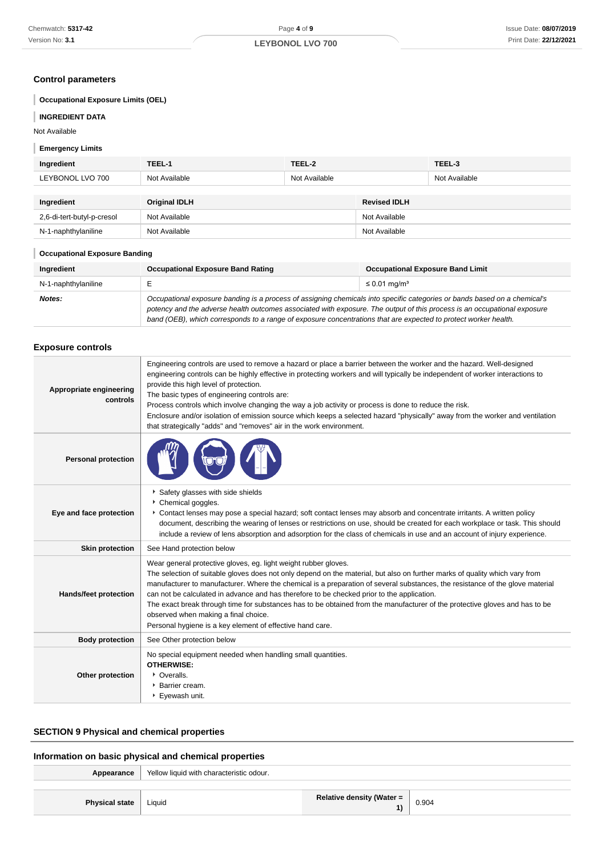## **Control parameters**

## **Occupational Exposure Limits (OEL)**

#### **INGREDIENT DATA**

Not Available

#### **Emergency Limits** I

| Ingredient                 | TEEL-1               | TEEL-2        |                     | TEEL-3        |
|----------------------------|----------------------|---------------|---------------------|---------------|
| LEYBONOL LVO 700           | Not Available        | Not Available |                     | Not Available |
|                            |                      |               |                     |               |
|                            |                      |               |                     |               |
| Ingredient                 | <b>Original IDLH</b> |               | <b>Revised IDLH</b> |               |
| 2,6-di-tert-butyl-p-cresol | Not Available        |               | Not Available       |               |

#### **Occupational Exposure Banding**

| Ingredient          | <b>Occupational Exposure Band Rating</b>                                                                                                                                                                                                                                                                                                                                 | <b>Occupational Exposure Band Limit</b> |
|---------------------|--------------------------------------------------------------------------------------------------------------------------------------------------------------------------------------------------------------------------------------------------------------------------------------------------------------------------------------------------------------------------|-----------------------------------------|
| N-1-naphthylaniline |                                                                                                                                                                                                                                                                                                                                                                          | $\leq 0.01$ mg/m <sup>3</sup>           |
| Notes:              | Occupational exposure banding is a process of assigning chemicals into specific categories or bands based on a chemical's<br>potency and the adverse health outcomes associated with exposure. The output of this process is an occupational exposure<br>band (OEB), which corresponds to a range of exposure concentrations that are expected to protect worker health. |                                         |

## **Exposure controls**

| Appropriate engineering<br>controls | Engineering controls are used to remove a hazard or place a barrier between the worker and the hazard. Well-designed<br>engineering controls can be highly effective in protecting workers and will typically be independent of worker interactions to<br>provide this high level of protection.<br>The basic types of engineering controls are:<br>Process controls which involve changing the way a job activity or process is done to reduce the risk.<br>Enclosure and/or isolation of emission source which keeps a selected hazard "physically" away from the worker and ventilation<br>that strategically "adds" and "removes" air in the work environment. |
|-------------------------------------|--------------------------------------------------------------------------------------------------------------------------------------------------------------------------------------------------------------------------------------------------------------------------------------------------------------------------------------------------------------------------------------------------------------------------------------------------------------------------------------------------------------------------------------------------------------------------------------------------------------------------------------------------------------------|
| <b>Personal protection</b>          |                                                                                                                                                                                                                                                                                                                                                                                                                                                                                                                                                                                                                                                                    |
| Eye and face protection             | Safety glasses with side shields<br>Chemical goggles.<br>Contact lenses may pose a special hazard; soft contact lenses may absorb and concentrate irritants. A written policy<br>document, describing the wearing of lenses or restrictions on use, should be created for each workplace or task. This should<br>include a review of lens absorption and adsorption for the class of chemicals in use and an account of injury experience.                                                                                                                                                                                                                         |
| <b>Skin protection</b>              | See Hand protection below                                                                                                                                                                                                                                                                                                                                                                                                                                                                                                                                                                                                                                          |
| Hands/feet protection               | Wear general protective gloves, eg. light weight rubber gloves.<br>The selection of suitable gloves does not only depend on the material, but also on further marks of quality which vary from<br>manufacturer to manufacturer. Where the chemical is a preparation of several substances, the resistance of the glove material<br>can not be calculated in advance and has therefore to be checked prior to the application.<br>The exact break through time for substances has to be obtained from the manufacturer of the protective gloves and has to be<br>observed when making a final choice.<br>Personal hygiene is a key element of effective hand care.  |
| <b>Body protection</b>              | See Other protection below                                                                                                                                                                                                                                                                                                                                                                                                                                                                                                                                                                                                                                         |
| Other protection                    | No special equipment needed when handling small quantities.<br><b>OTHERWISE:</b><br>• Overalls.<br>* Barrier cream.<br>Eyewash unit.                                                                                                                                                                                                                                                                                                                                                                                                                                                                                                                               |

## **SECTION 9 Physical and chemical properties**

## **Information on basic physical and chemical properties**

| Appearance            | Yellow liquid with characteristic odour. |                                  |       |
|-----------------------|------------------------------------------|----------------------------------|-------|
|                       |                                          |                                  |       |
| <b>Physical state</b> | Liquid                                   | <b>Relative density (Water =</b> | 0.904 |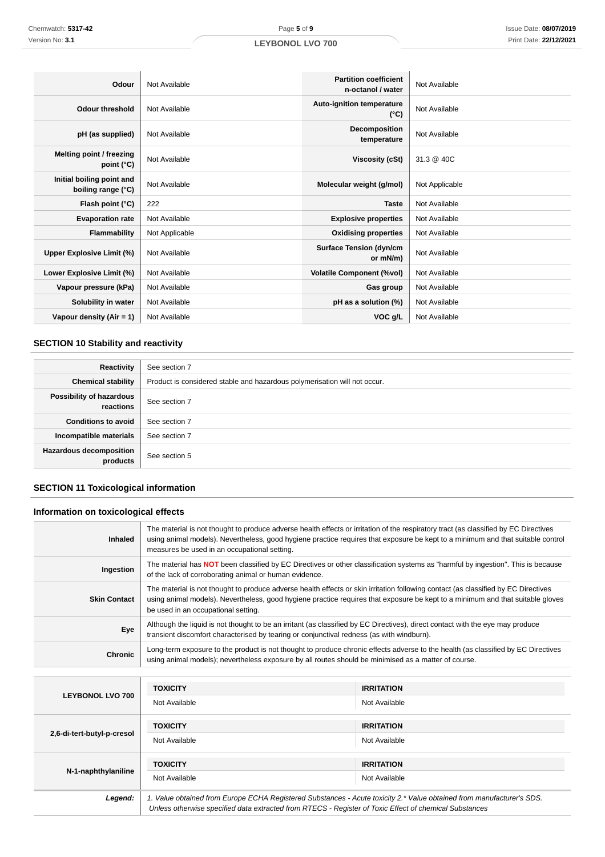| Odour                                           | Not Available  | <b>Partition coefficient</b><br>n-octanol / water | Not Available  |
|-------------------------------------------------|----------------|---------------------------------------------------|----------------|
| <b>Odour threshold</b>                          | Not Available  | <b>Auto-ignition temperature</b><br>$(^{\circ}C)$ | Not Available  |
| pH (as supplied)                                | Not Available  | Decomposition<br>temperature                      | Not Available  |
| Melting point / freezing<br>point $(^{\circ}C)$ | Not Available  | Viscosity (cSt)                                   | 31.3 @ 40C     |
| Initial boiling point and<br>boiling range (°C) | Not Available  | Molecular weight (g/mol)                          | Not Applicable |
| Flash point (°C)                                | 222            | <b>Taste</b>                                      | Not Available  |
| <b>Evaporation rate</b>                         | Not Available  | <b>Explosive properties</b>                       | Not Available  |
| <b>Flammability</b>                             | Not Applicable | <b>Oxidising properties</b>                       | Not Available  |
| Upper Explosive Limit (%)                       | Not Available  | <b>Surface Tension (dyn/cm</b><br>or mN/m)        | Not Available  |
| Lower Explosive Limit (%)                       | Not Available  | <b>Volatile Component (%vol)</b>                  | Not Available  |
| Vapour pressure (kPa)                           | Not Available  | Gas group                                         | Not Available  |
| Solubility in water                             | Not Available  | pH as a solution (%)                              | Not Available  |
| Vapour density $(Air = 1)$                      | Not Available  | VOC g/L                                           | Not Available  |

## **SECTION 10 Stability and reactivity**

| Reactivity                                 | See section 7                                                             |
|--------------------------------------------|---------------------------------------------------------------------------|
| <b>Chemical stability</b>                  | Product is considered stable and hazardous polymerisation will not occur. |
| Possibility of hazardous<br>reactions      | See section 7                                                             |
| <b>Conditions to avoid</b>                 | See section 7                                                             |
| Incompatible materials                     | See section 7                                                             |
| <b>Hazardous decomposition</b><br>products | See section 5                                                             |

## **SECTION 11 Toxicological information**

## **Information on toxicological effects**

| <b>Inhaled</b>      | The material is not thought to produce adverse health effects or irritation of the respiratory tract (as classified by EC Directives<br>using animal models). Nevertheless, good hygiene practice requires that exposure be kept to a minimum and that suitable control<br>measures be used in an occupational setting. |
|---------------------|-------------------------------------------------------------------------------------------------------------------------------------------------------------------------------------------------------------------------------------------------------------------------------------------------------------------------|
| Ingestion           | The material has <b>NOT</b> been classified by EC Directives or other classification systems as "harmful by ingestion". This is because<br>of the lack of corroborating animal or human evidence.                                                                                                                       |
| <b>Skin Contact</b> | The material is not thought to produce adverse health effects or skin irritation following contact (as classified by EC Directives<br>using animal models). Nevertheless, good hygiene practice requires that exposure be kept to a minimum and that suitable gloves<br>be used in an occupational setting.             |
| Eye                 | Although the liquid is not thought to be an irritant (as classified by EC Directives), direct contact with the eye may produce<br>transient discomfort characterised by tearing or conjunctival redness (as with windburn).                                                                                             |
| <b>Chronic</b>      | Long-term exposure to the product is not thought to produce chronic effects adverse to the health (as classified by EC Directives<br>using animal models); nevertheless exposure by all routes should be minimised as a matter of course.                                                                               |

| <b>LEYBONOL LVO 700</b>    | <b>TOXICITY</b>                                                                                                                                                                                                                 | <b>IRRITATION</b> |
|----------------------------|---------------------------------------------------------------------------------------------------------------------------------------------------------------------------------------------------------------------------------|-------------------|
|                            | Not Available                                                                                                                                                                                                                   | Not Available     |
| 2,6-di-tert-butyl-p-cresol | <b>TOXICITY</b>                                                                                                                                                                                                                 | <b>IRRITATION</b> |
|                            | Not Available                                                                                                                                                                                                                   | Not Available     |
| N-1-naphthylaniline        | <b>TOXICITY</b>                                                                                                                                                                                                                 | <b>IRRITATION</b> |
|                            | Not Available                                                                                                                                                                                                                   | Not Available     |
| Legend:                    | 1. Value obtained from Europe ECHA Registered Substances - Acute toxicity 2.* Value obtained from manufacturer's SDS.<br>Unless otherwise specified data extracted from RTECS - Register of Toxic Effect of chemical Substances |                   |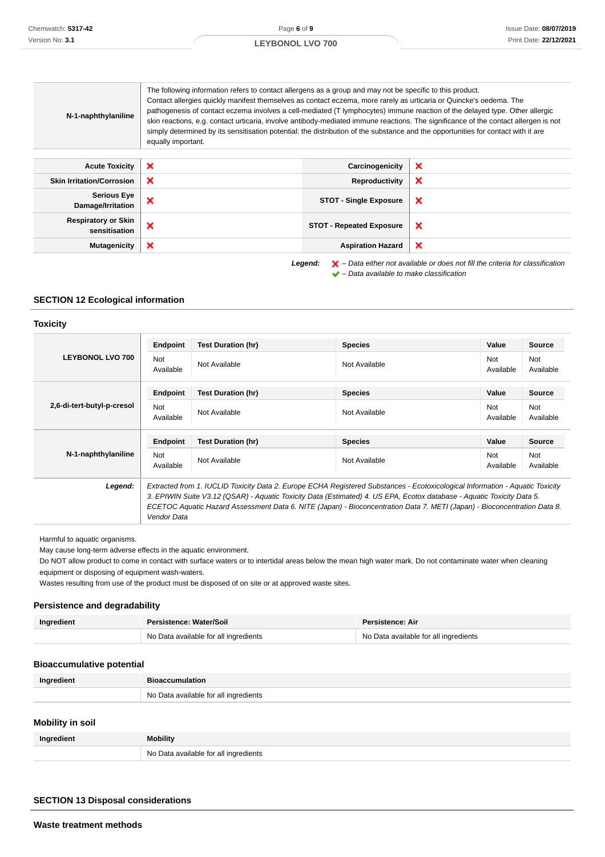#### The following information refers to contact allergens as a group and may not be specific to this product. Contact allergies quickly manifest themselves as contact eczema, more rarely as urticaria or Quincke's oedema. The pathogenesis of contact eczema involves a cell-mediated (T lymphocytes) immune reaction of the delayed type. Other allergic **N-1-naphthylaniline** skin reactions, e.g. contact urticaria, involve antibody-mediated immune reactions. The significance of the contact allergen is not simply determined by its sensitisation potential: the distribution of the substance and the opportunities for contact with it are equally important. **Acute Toxicity X Carcinogenicity**  $\boldsymbol{\mathsf{x}}$ **Skin Irritation/Corrosion X Reproductivity**  $\boldsymbol{\mathsf{x}}$ **Serious Eye Damage/Irritation X COT** - Single Exposure  $\boldsymbol{\mathsf{x}}$ **Respiratory or Skin STOT - Repeated Exposure**<br> **STOT - Repeated Exposure** × **Mutagenicity X Aspiration Hazard** × **Legend:** – Data either not available or does not fill the criteria for classification

 $\blacktriangleright$  – Data available to make classification

#### **SECTION 12 Ecological information**

#### **Toxicity**

|                            | Endpoint                | <b>Test Duration (hr)</b>                                                                                                                                                                                                                                                                                                                                                           | <b>Species</b> | Value                   | <b>Source</b>           |
|----------------------------|-------------------------|-------------------------------------------------------------------------------------------------------------------------------------------------------------------------------------------------------------------------------------------------------------------------------------------------------------------------------------------------------------------------------------|----------------|-------------------------|-------------------------|
| <b>LEYBONOL LVO 700</b>    | <b>Not</b><br>Available | Not Available                                                                                                                                                                                                                                                                                                                                                                       | Not Available  | <b>Not</b><br>Available | Not<br>Available        |
|                            | Endpoint                | <b>Test Duration (hr)</b>                                                                                                                                                                                                                                                                                                                                                           | <b>Species</b> | Value                   | <b>Source</b>           |
| 2.6-di-tert-butyl-p-cresol | <b>Not</b><br>Available | Not Available                                                                                                                                                                                                                                                                                                                                                                       | Not Available  | Not<br>Available        | <b>Not</b><br>Available |
|                            | Endpoint                | <b>Test Duration (hr)</b>                                                                                                                                                                                                                                                                                                                                                           | <b>Species</b> | Value                   | <b>Source</b>           |
| N-1-naphthylaniline        | <b>Not</b><br>Available | Not Available                                                                                                                                                                                                                                                                                                                                                                       | Not Available  | <b>Not</b><br>Available | <b>Not</b><br>Available |
| Legend:                    | Vendor Data             | Extracted from 1. IUCLID Toxicity Data 2. Europe ECHA Registered Substances - Ecotoxicological Information - Aquatic Toxicity<br>3. EPIWIN Suite V3.12 (QSAR) - Aquatic Toxicity Data (Estimated) 4. US EPA, Ecotox database - Aquatic Toxicity Data 5.<br>ECETOC Aquatic Hazard Assessment Data 6. NITE (Japan) - Bioconcentration Data 7. METI (Japan) - Bioconcentration Data 8. |                |                         |                         |

Harmful to aquatic organisms.

May cause long-term adverse effects in the aquatic environment.

Do NOT allow product to come in contact with surface waters or to intertidal areas below the mean high water mark. Do not contaminate water when cleaning equipment or disposing of equipment wash-waters.

Wastes resulting from use of the product must be disposed of on site or at approved waste sites.

## **Persistence and degradability**

| Ingredient | Persistence: Water/Soil<br><b>Persistence: Air</b> |                                       |
|------------|----------------------------------------------------|---------------------------------------|
|            | No Data available for all ingredients              | No Data available for all ingredients |

## **Bioaccumulative potential**

| Ingredient | <b>Bioaccumulation</b>                |
|------------|---------------------------------------|
|            | No Data available for all ingredients |

## **Mobility in soil**

| Ingredient | <b>Mobility</b>                       |
|------------|---------------------------------------|
|            | No Data available for all ingredients |

## **SECTION 13 Disposal considerations**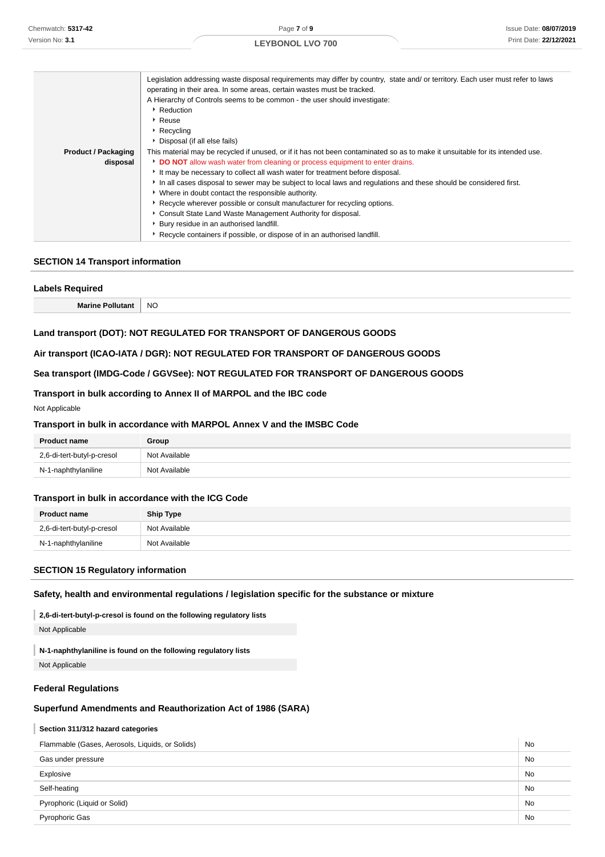|                            | Legislation addressing waste disposal requirements may differ by country, state and/or territory. Each user must refer to laws |  |  |
|----------------------------|--------------------------------------------------------------------------------------------------------------------------------|--|--|
|                            | operating in their area. In some areas, certain wastes must be tracked.                                                        |  |  |
|                            | A Hierarchy of Controls seems to be common - the user should investigate:                                                      |  |  |
|                            | ▶ Reduction                                                                                                                    |  |  |
|                            | ▶ Reuse                                                                                                                        |  |  |
|                            | Recycling                                                                                                                      |  |  |
|                            | • Disposal (if all else fails)                                                                                                 |  |  |
| <b>Product / Packaging</b> | This material may be recycled if unused, or if it has not been contaminated so as to make it unsuitable for its intended use.  |  |  |
| disposal                   | DO NOT allow wash water from cleaning or process equipment to enter drains.                                                    |  |  |
|                            | It may be necessary to collect all wash water for treatment before disposal.                                                   |  |  |
|                            | In all cases disposal to sewer may be subject to local laws and regulations and these should be considered first.              |  |  |
|                            | * Where in doubt contact the responsible authority.                                                                            |  |  |
|                            | ▶ Recycle wherever possible or consult manufacturer for recycling options.                                                     |  |  |
|                            | • Consult State Land Waste Management Authority for disposal.                                                                  |  |  |
|                            | • Bury residue in an authorised landfill.                                                                                      |  |  |
|                            | Recycle containers if possible, or dispose of in an authorised landfill.                                                       |  |  |

## **SECTION 14 Transport information**

| <b>Labels Required</b>  |           |
|-------------------------|-----------|
| <b>Marine Pollutant</b> | <b>NO</b> |
|                         |           |

## **Land transport (DOT): NOT REGULATED FOR TRANSPORT OF DANGEROUS GOODS**

#### **Air transport (ICAO-IATA / DGR): NOT REGULATED FOR TRANSPORT OF DANGEROUS GOODS**

#### **Sea transport (IMDG-Code / GGVSee): NOT REGULATED FOR TRANSPORT OF DANGEROUS GOODS**

#### **Transport in bulk according to Annex II of MARPOL and the IBC code**

#### Not Applicable

#### **Transport in bulk in accordance with MARPOL Annex V and the IMSBC Code**

| <b>Product name</b>        | Group         |
|----------------------------|---------------|
| 2,6-di-tert-butyl-p-cresol | Not Available |
| N-1-naphthylaniline        | Not Available |

#### **Transport in bulk in accordance with the ICG Code**

| <b>Product name</b>        | Ship Type     |
|----------------------------|---------------|
| 2,6-di-tert-butyl-p-cresol | Not Available |
| N-1-naphthylaniline        | Not Available |

## **SECTION 15 Regulatory information**

## **Safety, health and environmental regulations / legislation specific for the substance or mixture**

**2,6-di-tert-butyl-p-cresol is found on the following regulatory lists**

Not Applicable

I **N-1-naphthylaniline is found on the following regulatory lists**

Not Applicable

#### **Federal Regulations**

## **Superfund Amendments and Reauthorization Act of 1986 (SARA)**

#### **Section 311/312 hazard categories**

| Flammable (Gases, Aerosols, Liquids, or Solids) |           |
|-------------------------------------------------|-----------|
| Gas under pressure                              | <b>No</b> |
| Explosive                                       | <b>No</b> |
| Self-heating                                    | <b>No</b> |
| Pyrophoric (Liquid or Solid)                    |           |
| <b>Pyrophoric Gas</b>                           | <b>No</b> |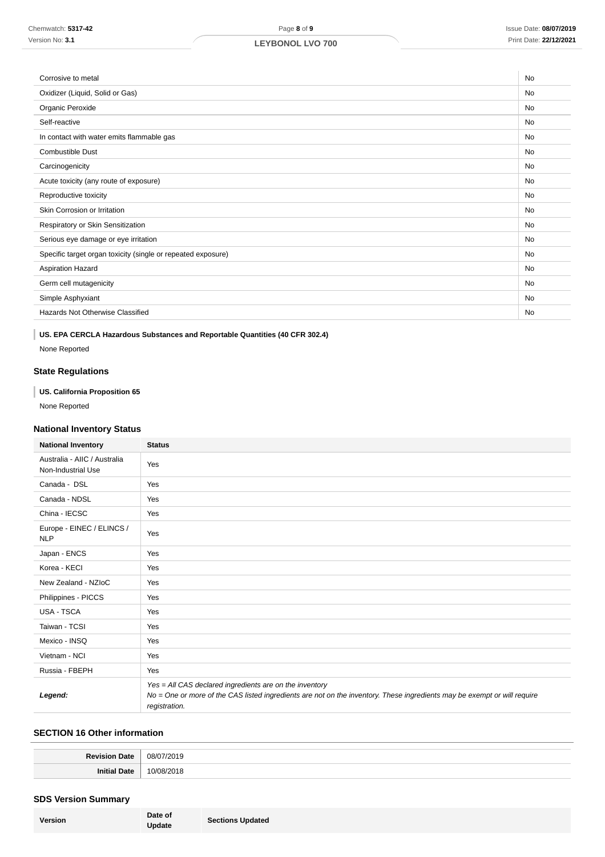| Corrosive to metal                                           | <b>No</b> |
|--------------------------------------------------------------|-----------|
| Oxidizer (Liquid, Solid or Gas)                              | No        |
| Organic Peroxide                                             | <b>No</b> |
| Self-reactive                                                | <b>No</b> |
| In contact with water emits flammable gas                    | No        |
| <b>Combustible Dust</b>                                      | <b>No</b> |
| Carcinogenicity                                              | <b>No</b> |
| Acute toxicity (any route of exposure)                       | <b>No</b> |
| Reproductive toxicity                                        | <b>No</b> |
| Skin Corrosion or Irritation                                 | <b>No</b> |
| Respiratory or Skin Sensitization                            | <b>No</b> |
| Serious eye damage or eye irritation                         | No        |
| Specific target organ toxicity (single or repeated exposure) | No        |
| <b>Aspiration Hazard</b>                                     | <b>No</b> |
| Germ cell mutagenicity                                       | No        |
| Simple Asphyxiant                                            |           |
| Hazards Not Otherwise Classified                             |           |
|                                                              |           |

## **US. EPA CERCLA Hazardous Substances and Reportable Quantities (40 CFR 302.4)**

None Reported

## **State Regulations**

## **US. California Proposition 65**

None Reported

## **National Inventory Status**

| <b>National Inventory</b>                          | <b>Status</b>                                                                                                                                                                                        |
|----------------------------------------------------|------------------------------------------------------------------------------------------------------------------------------------------------------------------------------------------------------|
| Australia - AIIC / Australia<br>Non-Industrial Use | Yes                                                                                                                                                                                                  |
| Canada - DSL                                       | Yes                                                                                                                                                                                                  |
| Canada - NDSL                                      | Yes                                                                                                                                                                                                  |
| China - IECSC                                      | Yes                                                                                                                                                                                                  |
| Europe - EINEC / ELINCS /<br><b>NLP</b>            | Yes                                                                                                                                                                                                  |
| Japan - ENCS                                       | Yes                                                                                                                                                                                                  |
| Korea - KECI                                       | Yes                                                                                                                                                                                                  |
| New Zealand - NZIoC                                | Yes                                                                                                                                                                                                  |
| Philippines - PICCS                                | Yes                                                                                                                                                                                                  |
| USA - TSCA                                         | Yes                                                                                                                                                                                                  |
| Taiwan - TCSI                                      | Yes                                                                                                                                                                                                  |
| Mexico - INSQ                                      | Yes                                                                                                                                                                                                  |
| Vietnam - NCI                                      | Yes                                                                                                                                                                                                  |
| Russia - FBEPH                                     | Yes                                                                                                                                                                                                  |
| Legend:                                            | Yes = All CAS declared ingredients are on the inventory<br>No = One or more of the CAS listed ingredients are not on the inventory. These ingredients may be exempt or will require<br>registration. |

## **SECTION 16 Other information**

| /אר |
|-----|
|     |

## **SDS Version Summary**

| Date of<br>Version<br><b>Update</b> | <b>Sections Updated</b> |
|-------------------------------------|-------------------------|
|-------------------------------------|-------------------------|